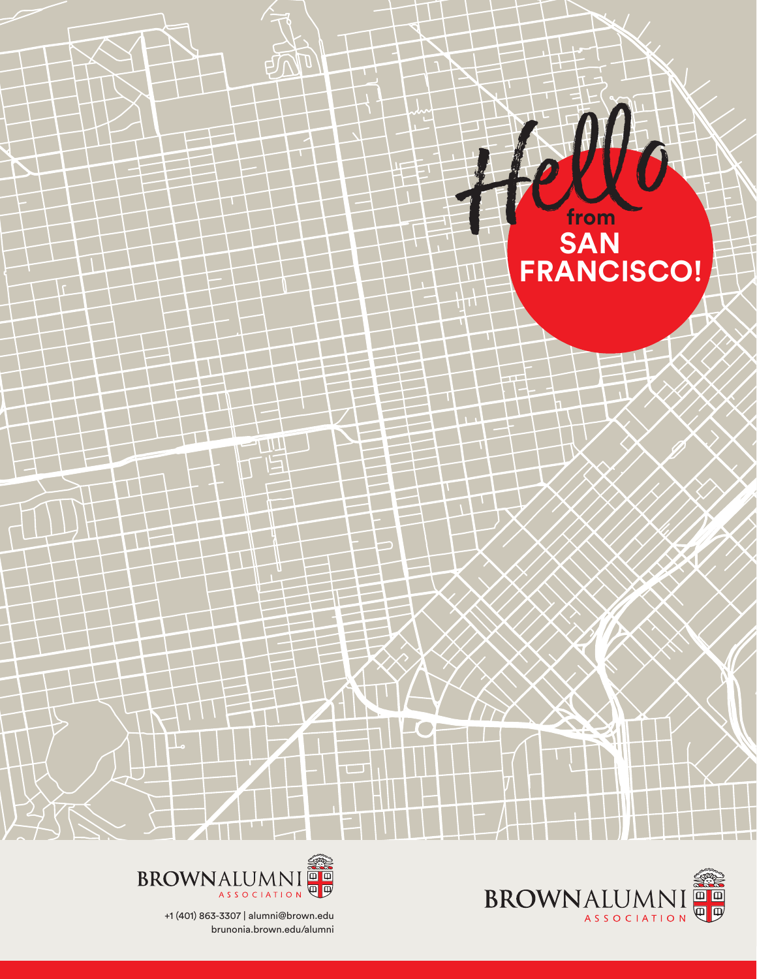

**COL** 





П

+1 (401) 863-3307 | alumni@brown.edu brunonia.brown.edu/alumni

 $11$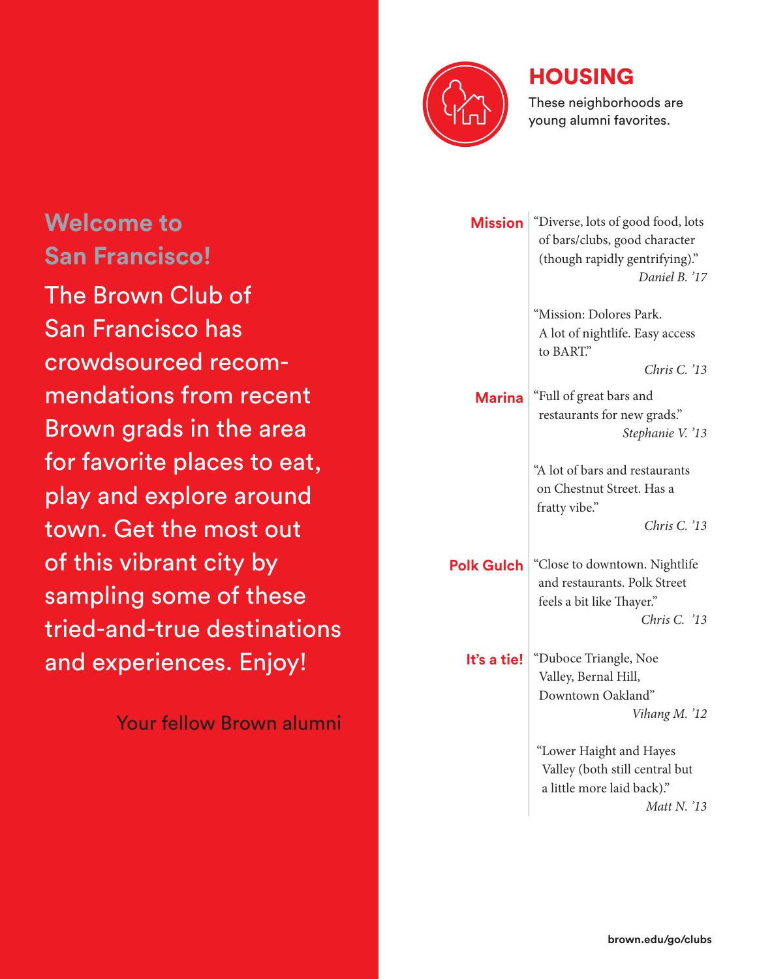

#### HOUSING

These neighborhoods are young alumni favorites.

| <b>Mission</b>    | "Diverse, lots of good food, lots<br>of bars/clubs, good character<br>(though rapidly gentrifying)."<br>Daniel B. '17 |  |  |
|-------------------|-----------------------------------------------------------------------------------------------------------------------|--|--|
|                   | "Mission: Dolores Park.<br>A lot of nightlife. Easy access<br>to BART."<br>Chris C. '13                               |  |  |
| <b>Marina</b>     | "Full of great bars and<br>restaurants for new grads."<br>Stephanie V. '13                                            |  |  |
|                   | "A lot of bars and restaurants<br>on Chestnut Street. Has a<br>fratty vibe."                                          |  |  |
|                   | Chris C. '13                                                                                                          |  |  |
| <b>Polk Gulch</b> | "Close to downtown. Nightlife<br>and restaurants. Polk Street<br>feels a bit like Thayer."                            |  |  |
|                   | Chris C. '13                                                                                                          |  |  |
| It's a tie!       | "Duboce Triangle, Noe<br>Valley, Bernal Hill,<br>Downtown Oakland"<br>Vihang M. '12                                   |  |  |
|                   |                                                                                                                       |  |  |
|                   | "Lower Haight and Hayes<br>Valley (both still central but<br>a little more laid back)."                               |  |  |
|                   | Matt N. '13                                                                                                           |  |  |

# **Welcome to San Francisco!**

The Brown Club of San Francisco has crowdsourced recommendations from recent Brown grads in the area for favorite places to eat, play and explore around town. Get the most out of this vibrant city by sampling some of these tried-and-true destinations and experiences. Enjoy!

Your fellow Brown alumni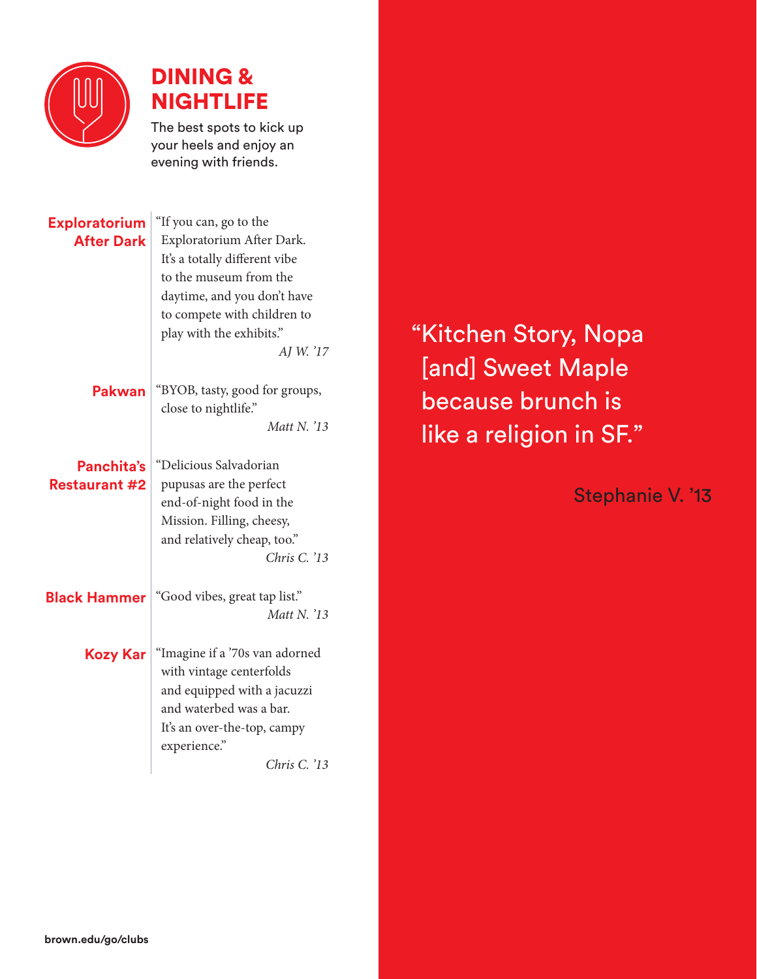

### DINING & NIGHTLIFE

The best spots to kick up your heels and enjoy an evening with friends.

| <b>Exploratorium</b><br><b>After Dark</b> | "If you can, go to the<br>Exploratorium After Dark.<br>It's a totally different vibe<br>to the museum from the<br>daytime, and you don't have<br>to compete with children to<br>play with the exhibits."<br>AJ W. '17 |  |
|-------------------------------------------|-----------------------------------------------------------------------------------------------------------------------------------------------------------------------------------------------------------------------|--|
| Pakwan                                    | "BYOB, tasty, good for groups,<br>close to nightlife."                                                                                                                                                                |  |
|                                           | Matt N. '13                                                                                                                                                                                                           |  |
| Panchita's<br><b>Restaurant #2</b>        | "Delicious Salvadorian<br>pupusas are the perfect<br>end-of-night food in the<br>Mission. Filling, cheesy,<br>and relatively cheap, too."<br>Chris C. '13                                                             |  |
| <b>Black Hammer</b>                       | "Good vibes, great tap list."<br>Matt N. '13                                                                                                                                                                          |  |
| Kozy Kar                                  | "Imagine if a '70s van adorned<br>with vintage centerfolds<br>and equipped with a jacuzzi<br>and waterbed was a bar.<br>It's an over-the-top, campy<br>experience."<br>Chris C. '13                                   |  |

"Kitchen Story, Nopa [and] Sweet Maple because brunch is like a religion in SF."

Stephanie V. '13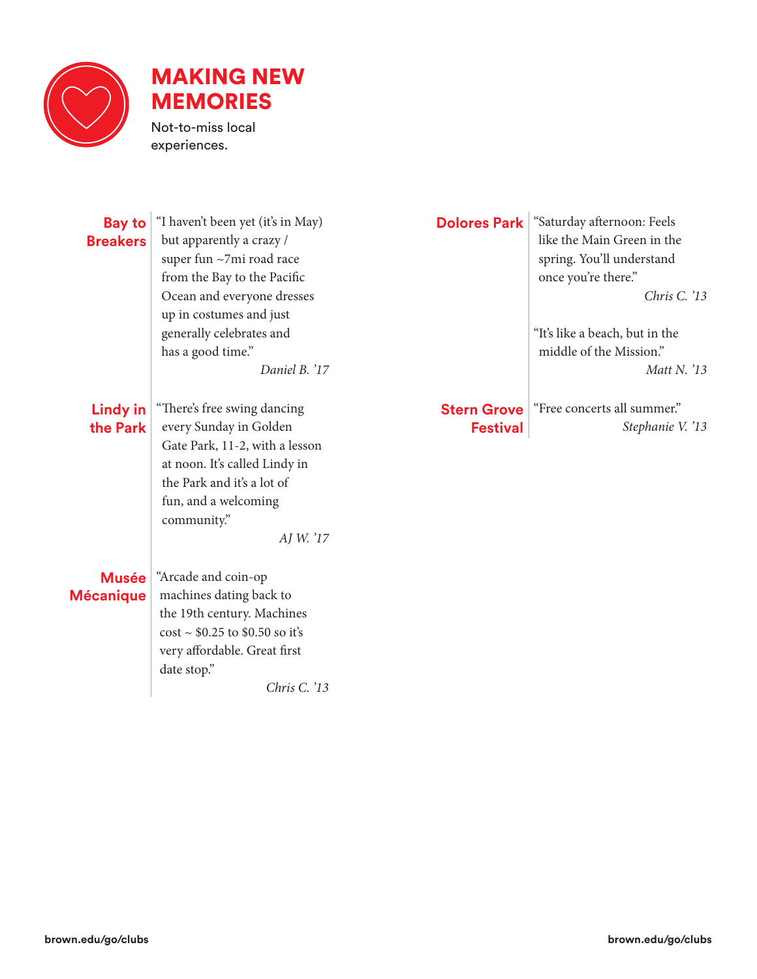

## MAKING NEW MEMORIES

Not-to-miss local experiences.

| <b>Bay to</b><br><b>Breakers</b> | "I haven't been yet (it's in May)<br>but apparently a crazy /<br>super fun ~7mi road race<br>from the Bay to the Pacific<br>Ocean and everyone dresses<br>up in costumes and just<br>generally celebrates and<br>has a good time."<br>Daniel B. '17 | <b>Dolores Park</b>                   | "Saturday afternoon: Feels<br>like the Main Green in the<br>spring. You'll understand<br>once you're there."<br>Chris C. $'13$<br>"It's like a beach, but in the<br>middle of the Mission."<br>Matt N. $'13$ |
|----------------------------------|-----------------------------------------------------------------------------------------------------------------------------------------------------------------------------------------------------------------------------------------------------|---------------------------------------|--------------------------------------------------------------------------------------------------------------------------------------------------------------------------------------------------------------|
| <b>Lindy in</b><br>the Park      | "There's free swing dancing<br>every Sunday in Golden<br>Gate Park, 11-2, with a lesson<br>at noon. It's called Lindy in<br>the Park and it's a lot of<br>fun, and a welcoming<br>community."<br>AJ W. '17                                          | <b>Stern Grove</b><br><b>Festival</b> | "Free concerts all summer."<br>Stephanie V. '13                                                                                                                                                              |
| <b>Musée</b><br><b>Mécanique</b> | "Arcade and coin-op<br>machines dating back to<br>the 19th century. Machines<br>$cost \sim $0.25$ to \$0.50 so it's<br>very affordable. Great first<br>date stop."<br>Chris C. '13                                                                  |                                       |                                                                                                                                                                                                              |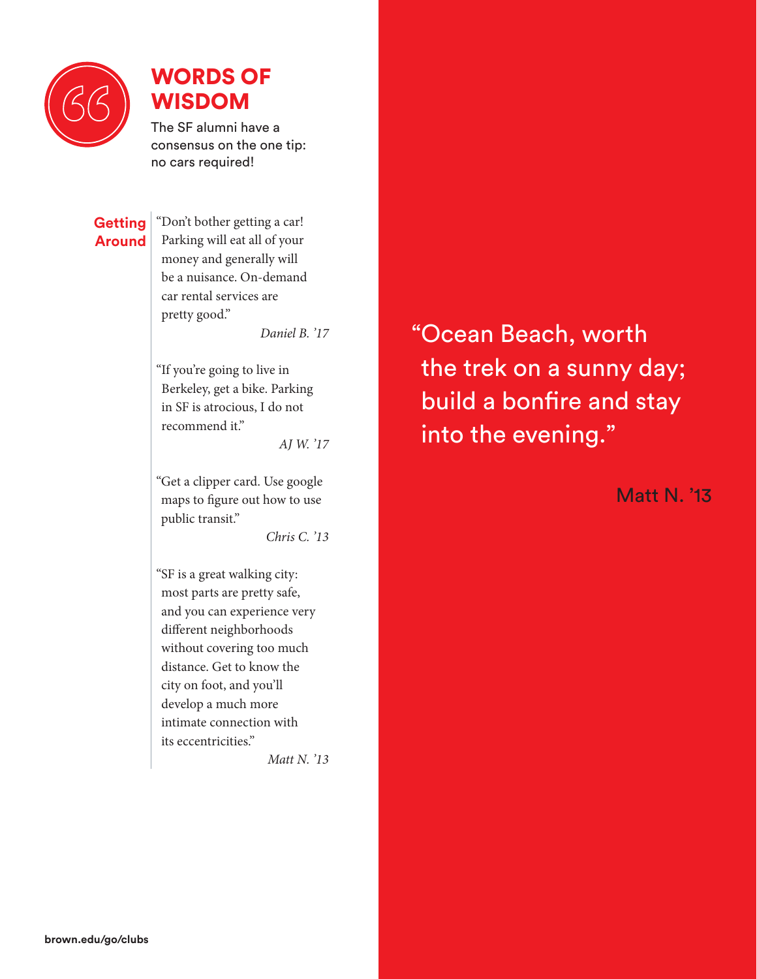

### WORDS OF WISDOM

The SF alumni have a consensus on the one tip: no cars required!

#### **Getting Around**

"Don't bother getting a car! Parking will eat all of your money and generally will be a nuisance. On-demand car rental services are pretty good."

*Daniel B. '17*

"If you're going to live in Berkeley, get a bike. Parking in SF is atrocious, I do not recommend it."

*AJ W. '17*

"Get a clipper card. Use google maps to figure out how to use public transit."

*Chris C. '13*

"SF is a great walking city: most parts are pretty safe, and you can experience very different neighborhoods without covering too much distance. Get to know the city on foot, and you'll develop a much more intimate connection with its eccentricities."

*Matt N. '13*

"Ocean Beach, worth the trek on a sunny day; build a bonfire and stay into the evening."

Matt N. '13